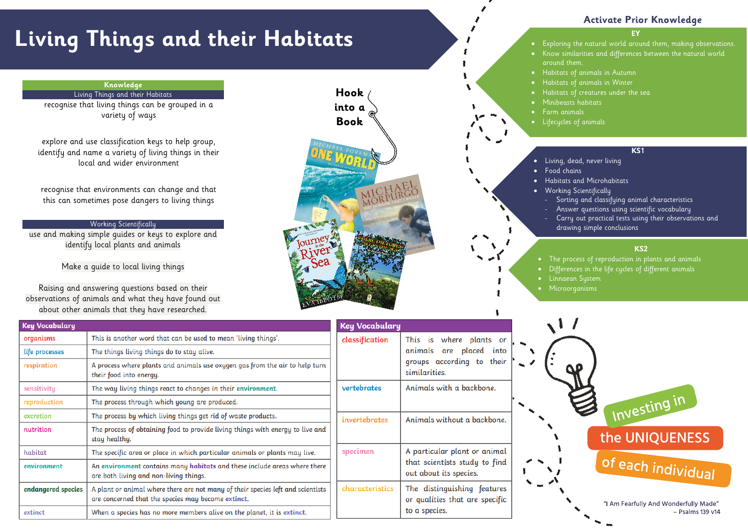# **Living Things and their Habitats**

#### **EY**

- Exploring the natural world around them, making observations. • Know similarities and differences between the natural world around them.
- Habitats of animals in Autumn
	- Habitats of animals in Winter
	- Habitats of creatures under the sea
	- Minibeasts habitats
	- Farm animals
- Lifecycles of animals

# **Activate Prior Knowledge**

## **KS1**

- Living, dead, never living
	- Food chains
	- Habitats and Microhabitats
	- Working Scientifically
		- Sorting and classifying animal characteristics
		- Answer questions using scientific vocabulary
		- Carry out practical tests using their observations and
		- drawing simple conclusions

## **KS2**

- The process of reproduction in plants and animals • Differences in the life cycles of different animals • Linnaean System
- Microorganisms



## **Knowledge**

## Living Things and their Habitats

recognise that living things can be grouped in a variety of ways

explore and use classification keys to help group, identify and name a variety of living things in their local and wider environment

recognise that environments can change and that this can sometimes pose dangers to living things

## Working Scientifically

use and making simple guides or keys to explore and identify local plants and animals

Make a guide to local living things

Raising and answering questions based on their observations of animals and what they have found out about other animals that they have researched.



| <b>Key Vocabulary</b> |                                                                                                                                       | <b>Key Vocabulary</b> |                                                               |
|-----------------------|---------------------------------------------------------------------------------------------------------------------------------------|-----------------------|---------------------------------------------------------------|
| organisms             | This is another word that can be used to mean 'living things'.                                                                        | classification        | This is<br>where plants<br>or                                 |
| life processes        | The things living things do to stay alive.                                                                                            |                       | animals<br>placed<br>into<br>are                              |
| respiration           | A process where plants and animals use oxygen gas from the air to help turn<br>their food into energy.                                |                       | groups according to<br>their<br>similarities.                 |
| sensitivity           | The way living things react to changes in their environment.                                                                          | vertebrates           | Animals with a backbone.                                      |
| reproduction          | The process through which young are produced.                                                                                         |                       |                                                               |
| excretion             | The process by which living things get rid of waste products.                                                                         | invertebrates         | Animals without a backbone.                                   |
| nutrition             | The process of obtaining food to provide living things with energy to live and<br>stay healthy.                                       |                       |                                                               |
| habitat               | The specific area or place in which particular animals or plants may live.                                                            | specimen              | A particular plant or animal                                  |
| environment           | An environment contains many habitats and these include areas where there<br>are both living and non-living things.                   |                       | that scientists study to find<br>out about its species.       |
| endangered species    | A plant or animal where there are not many of their species left and scientists<br>are concerned that the species may become extinct. | characteristics       | The distinguishing features<br>or qualities that are specific |
| extinct               | When a species has no more members alive on the planet, it is extinct.                                                                |                       | to a species.                                                 |